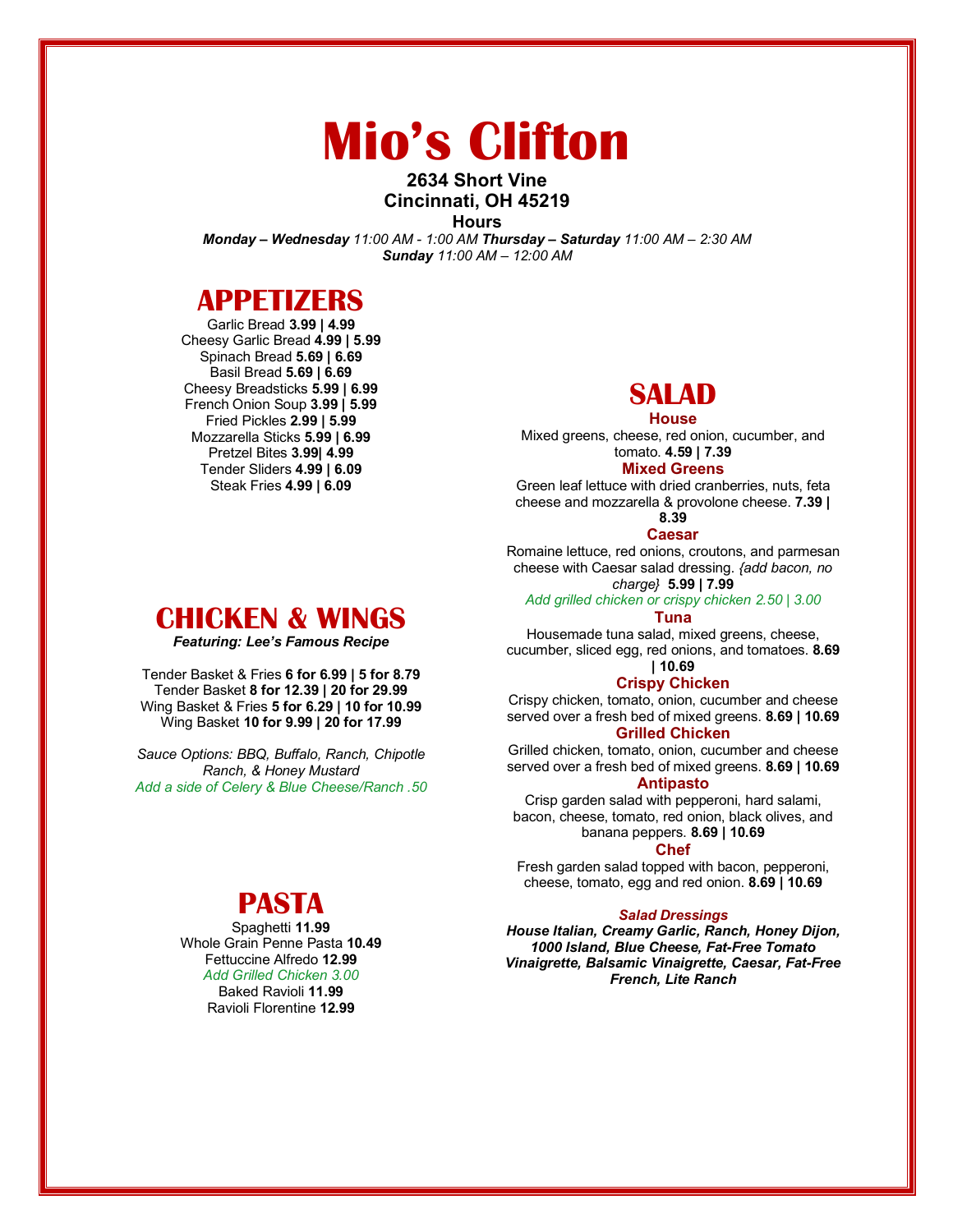# **Mio's Clifton**

### **2634 Short Vine Cincinnati, OH 45219**

**Hours**

*Monday – Wednesday 11:00 AM - 1:00 AM Thursday – Saturday 11:00 AM – 2:30 AM Sunday 11:00 AM – 12:00 AM*

### **APPETIZERS**

Garlic Bread **3.99 | 4.99** Cheesy Garlic Bread **4.99 | 5.99** Spinach Bread **5.69 | 6.69** Basil Bread **5.69 | 6.69** Cheesy Breadsticks **5.99 | 6.99** French Onion Soup **3.99 | 5.99** Fried Pickles **2.99 | 5.99** Mozzarella Sticks **5.99 | 6.99** Pretzel Bites **3.99| 4.99** Tender Sliders **4.99 | 6.09** Steak Fries **4.99 | 6.09**

### **SALAD**

**House**

Mixed greens, cheese, red onion, cucumber, and tomato. **4.59 | 7.39**

#### **Mixed Greens**

Green leaf lettuce with dried cranberries, nuts, feta cheese and mozzarella & provolone cheese. **7.39 | 8.39**

#### **Caesar**

Romaine lettuce, red onions, croutons, and parmesan cheese with Caesar salad dressing. *{add bacon, no charge}* **5.99 | 7.99**

*Add grilled chicken or crispy chicken 2.50 | 3.00*

#### **Tuna**

Housemade tuna salad, mixed greens, cheese, cucumber, sliced egg, red onions, and tomatoes. **8.69 | 10.69**

#### **Crispy Chicken**

Crispy chicken, tomato, onion, cucumber and cheese served over a fresh bed of mixed greens. **8.69 | 10.69 Grilled Chicken**

Grilled chicken, tomato, onion, cucumber and cheese served over a fresh bed of mixed greens. **8.69 | 10.69**

#### **Antipasto**

Crisp garden salad with pepperoni, hard salami, bacon, cheese, tomato, red onion, black olives, and banana peppers. **8.69 | 10.69**

#### **Chef**

Fresh garden salad topped with bacon, pepperoni, cheese, tomato, egg and red onion. **8.69 | 10.69**

#### *Salad Dressings*

*House Italian, Creamy Garlic, Ranch, Honey Dijon, 1000 Island, Blue Cheese, Fat-Free Tomato Vinaigrette, Balsamic Vinaigrette, Caesar, Fat-Free French, Lite Ranch*

### **CHICKEN & WINGS**

*Featuring: Lee's Famous Recipe*

Tender Basket & Fries **6 for 6.99 | 5 for 8.79** Tender Basket **8 for 12.39 | 20 for 29.99** Wing Basket & Fries **5 for 6.29 | 10 for 10.99** Wing Basket **10 for 9.99 | 20 for 17.99**

*Sauce Options: BBQ, Buffalo, Ranch, Chipotle Ranch, & Honey Mustard Add a side of Celery & Blue Cheese/Ranch .50*

### **PASTA**

Spaghetti **11.99** Whole Grain Penne Pasta **10.49** Fettuccine Alfredo **12.99** *Add Grilled Chicken 3.00* Baked Ravioli **11.99** Ravioli Florentine **12.99**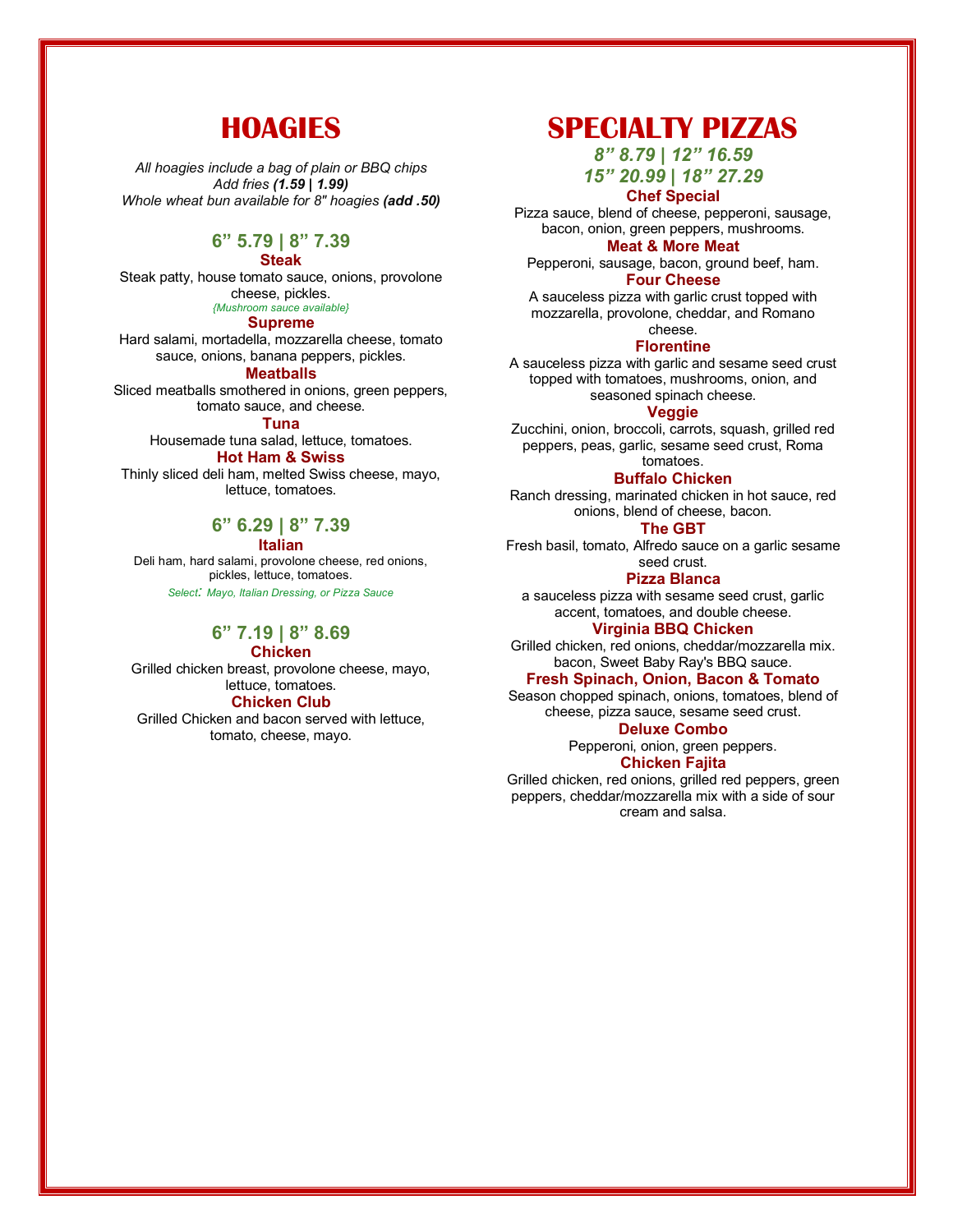### **HOAGIES**

*All hoagies include a bag of plain or BBQ chips Add fries (1.59 | 1.99) Whole wheat bun available for 8" hoagies (add .50)*

#### **6" 5.79 | 8" 7.39**

#### **Steak**

Steak patty, house tomato sauce, onions, provolone cheese, pickles. *{Mushroom sauce available}*

#### **Supreme**

Hard salami, mortadella, mozzarella cheese, tomato sauce, onions, banana peppers, pickles.

**Meatballs** Sliced meatballs smothered in onions, green peppers, tomato sauce, and cheese.

#### **Tuna**

Housemade tuna salad, lettuce, tomatoes.

#### **Hot Ham & Swiss**

Thinly sliced deli ham, melted Swiss cheese, mayo, lettuce, tomatoes.

#### **6" 6.29 | 8" 7.39 Italian**

Deli ham, hard salami, provolone cheese, red onions, pickles, lettuce, tomatoes. *Select: Mayo, Italian Dressing, or Pizza Sauce*

### **6" 7.19 | 8" 8.69**

**Chicken**

Grilled chicken breast, provolone cheese, mayo, lettuce, tomatoes.

#### **Chicken Club**

Grilled Chicken and bacon served with lettuce, tomato, cheese, mayo.

### **SPECIALTY PIZZAS**

*8" 8.79 | 12" 16.59*

#### *15" 20.99 | 18" 27.29* **Chef Special**

Pizza sauce, blend of cheese, pepperoni, sausage, bacon, onion, green peppers, mushrooms.

#### **Meat & More Meat**

Pepperoni, sausage, bacon, ground beef, ham. **Four Cheese**

A sauceless pizza with garlic crust topped with mozzarella, provolone, cheddar, and Romano cheese.

#### **Florentine**

A sauceless pizza with garlic and sesame seed crust topped with tomatoes, mushrooms, onion, and seasoned spinach cheese.

#### **Veggie**

Zucchini, onion, broccoli, carrots, squash, grilled red peppers, peas, garlic, sesame seed crust, Roma tomatoes.

#### **Buffalo Chicken**

Ranch dressing, marinated chicken in hot sauce, red onions, blend of cheese, bacon.

#### **The GBT**

Fresh basil, tomato, Alfredo sauce on a garlic sesame seed crust.

**Pizza Blanca**

a sauceless pizza with sesame seed crust, garlic accent, tomatoes, and double cheese.

#### **Virginia BBQ Chicken**

Grilled chicken, red onions, cheddar/mozzarella mix. bacon, Sweet Baby Ray's BBQ sauce.

#### **Fresh Spinach, Onion, Bacon & Tomato**

Season chopped spinach, onions, tomatoes, blend of cheese, pizza sauce, sesame seed crust.

#### **Deluxe Combo**

Pepperoni, onion, green peppers. **Chicken Fajita**

Grilled chicken, red onions, grilled red peppers, green peppers, cheddar/mozzarella mix with a side of sour cream and salsa.